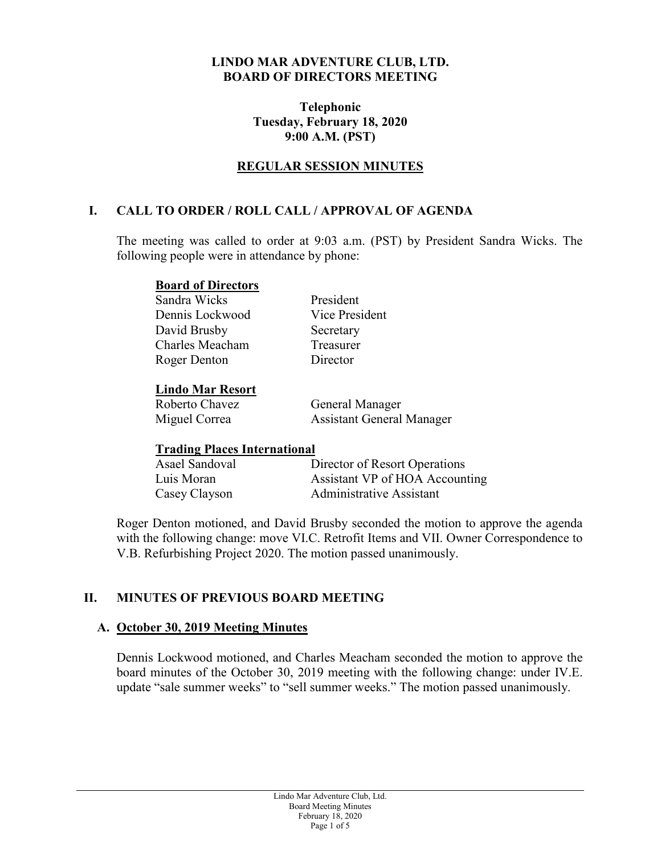#### **LINDO MAR ADVENTURE CLUB, LTD. BOARD OF DIRECTORS MEETING**

#### **Telephonic Tuesday, February 18, 2020 9:00 A.M. (PST)**

## **REGULAR SESSION MINUTES**

### **I. CALL TO ORDER / ROLL CALL / APPROVAL OF AGENDA**

The meeting was called to order at 9:03 a.m. (PST) by President Sandra Wicks. The following people were in attendance by phone:

#### **Board of Directors**

Sandra Wicks President Dennis Lockwood Vice President David Brusby Secretary Charles Meacham Treasurer Roger Denton Director

### **Lindo Mar Resort**

Roberto Chavez General Manager Miguel Correa Assistant General Manager

### **Trading Places International**

| Asael Sandoval | Director of Resort Operations   |
|----------------|---------------------------------|
| Luis Moran     | Assistant VP of HOA Accounting  |
| Casey Clayson  | <b>Administrative Assistant</b> |

Roger Denton motioned, and David Brusby seconded the motion to approve the agenda with the following change: move VI.C. Retrofit Items and VII. Owner Correspondence to V.B. Refurbishing Project 2020. The motion passed unanimously.

## **II. MINUTES OF PREVIOUS BOARD MEETING**

### **A. October 30, 2019 Meeting Minutes**

Dennis Lockwood motioned, and Charles Meacham seconded the motion to approve the board minutes of the October 30, 2019 meeting with the following change: under IV.E. update "sale summer weeks" to "sell summer weeks." The motion passed unanimously.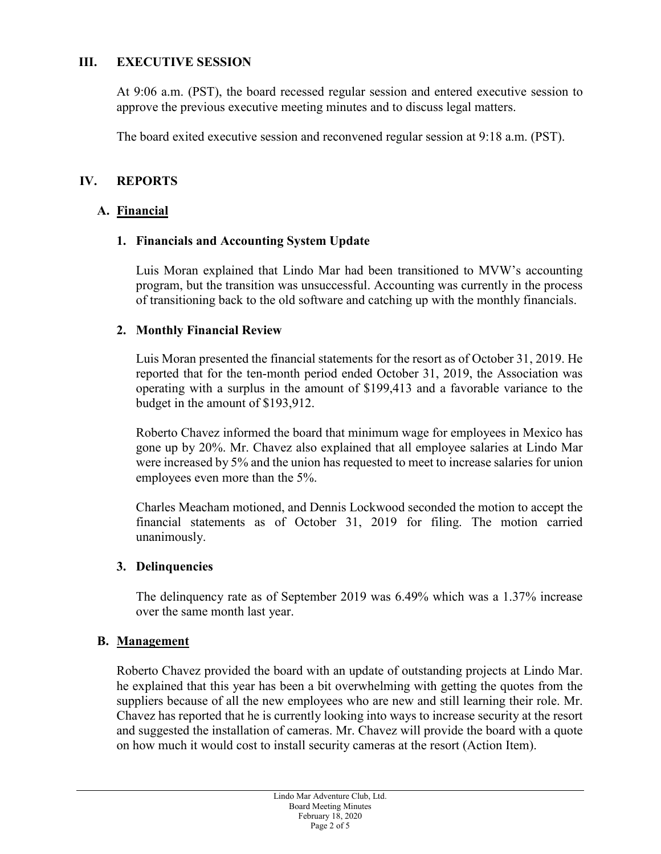### **III. EXECUTIVE SESSION**

At 9:06 a.m. (PST), the board recessed regular session and entered executive session to approve the previous executive meeting minutes and to discuss legal matters.

The board exited executive session and reconvened regular session at 9:18 a.m. (PST).

## **IV. REPORTS**

### **A. Financial**

### **1. Financials and Accounting System Update**

Luis Moran explained that Lindo Mar had been transitioned to MVW's accounting program, but the transition was unsuccessful. Accounting was currently in the process of transitioning back to the old software and catching up with the monthly financials.

### **2. Monthly Financial Review**

Luis Moran presented the financial statements for the resort as of October 31, 2019. He reported that for the ten-month period ended October 31, 2019, the Association was operating with a surplus in the amount of \$199,413 and a favorable variance to the budget in the amount of \$193,912.

Roberto Chavez informed the board that minimum wage for employees in Mexico has gone up by 20%. Mr. Chavez also explained that all employee salaries at Lindo Mar were increased by 5% and the union has requested to meet to increase salaries for union employees even more than the 5%.

Charles Meacham motioned, and Dennis Lockwood seconded the motion to accept the financial statements as of October 31, 2019 for filing. The motion carried unanimously.

### **3. Delinquencies**

The delinquency rate as of September 2019 was 6.49% which was a 1.37% increase over the same month last year.

### **B. Management**

Roberto Chavez provided the board with an update of outstanding projects at Lindo Mar. he explained that this year has been a bit overwhelming with getting the quotes from the suppliers because of all the new employees who are new and still learning their role. Mr. Chavez has reported that he is currently looking into ways to increase security at the resort and suggested the installation of cameras. Mr. Chavez will provide the board with a quote on how much it would cost to install security cameras at the resort (Action Item).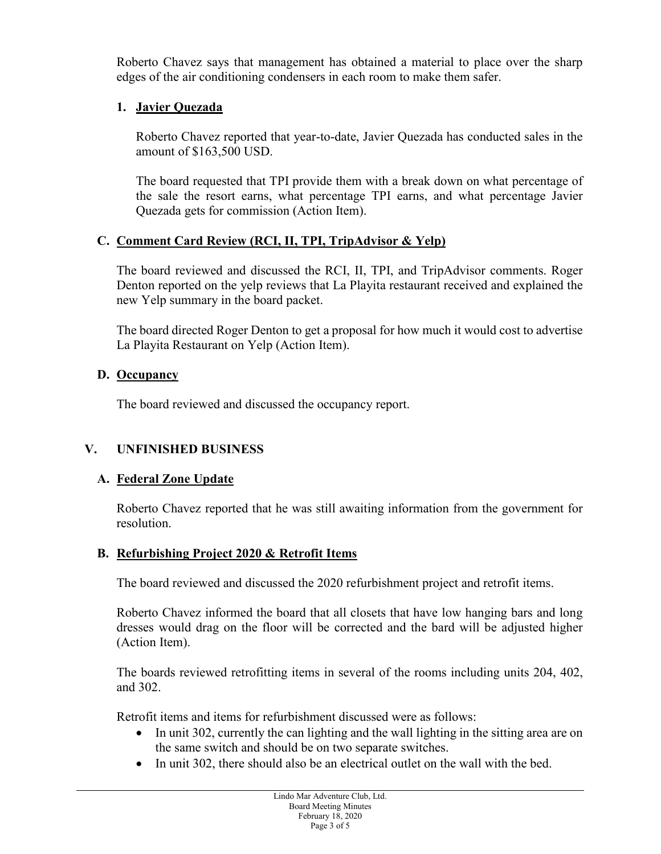Roberto Chavez says that management has obtained a material to place over the sharp edges of the air conditioning condensers in each room to make them safer.

# **1. Javier Quezada**

Roberto Chavez reported that year-to-date, Javier Quezada has conducted sales in the amount of \$163,500 USD.

The board requested that TPI provide them with a break down on what percentage of the sale the resort earns, what percentage TPI earns, and what percentage Javier Quezada gets for commission (Action Item).

# **C. Comment Card Review (RCI, II, TPI, TripAdvisor & Yelp)**

The board reviewed and discussed the RCI, II, TPI, and TripAdvisor comments. Roger Denton reported on the yelp reviews that La Playita restaurant received and explained the new Yelp summary in the board packet.

The board directed Roger Denton to get a proposal for how much it would cost to advertise La Playita Restaurant on Yelp (Action Item).

# **D. Occupancy**

The board reviewed and discussed the occupancy report.

# **V. UNFINISHED BUSINESS**

# **A. Federal Zone Update**

Roberto Chavez reported that he was still awaiting information from the government for resolution.

# **B. Refurbishing Project 2020 & Retrofit Items**

The board reviewed and discussed the 2020 refurbishment project and retrofit items.

Roberto Chavez informed the board that all closets that have low hanging bars and long dresses would drag on the floor will be corrected and the bard will be adjusted higher (Action Item).

The boards reviewed retrofitting items in several of the rooms including units 204, 402, and 302.

Retrofit items and items for refurbishment discussed were as follows:

- In unit 302, currently the can lighting and the wall lighting in the sitting area are on the same switch and should be on two separate switches.
- In unit 302, there should also be an electrical outlet on the wall with the bed.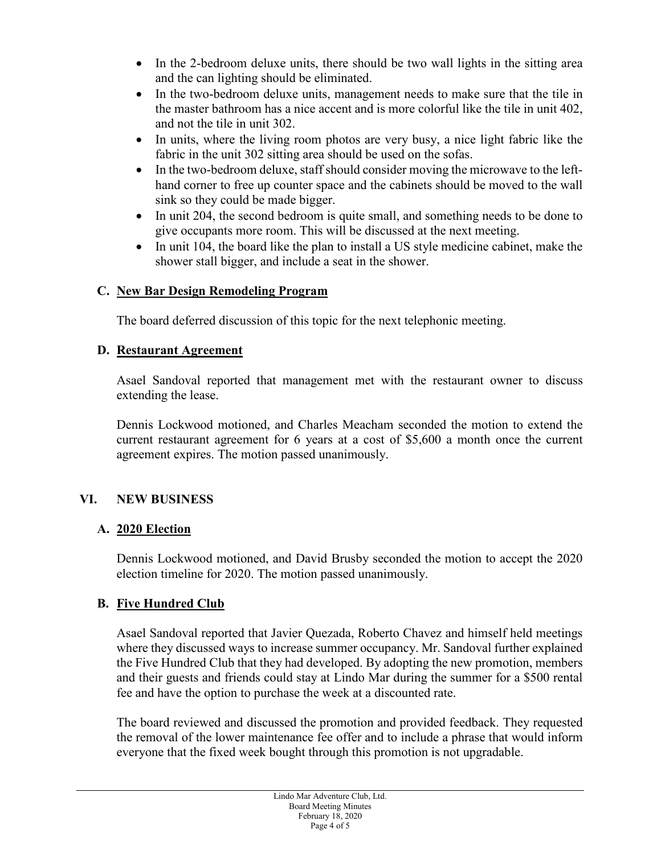- In the 2-bedroom deluxe units, there should be two wall lights in the sitting area and the can lighting should be eliminated.
- In the two-bedroom deluxe units, management needs to make sure that the tile in the master bathroom has a nice accent and is more colorful like the tile in unit 402, and not the tile in unit 302.
- In units, where the living room photos are very busy, a nice light fabric like the fabric in the unit 302 sitting area should be used on the sofas.
- In the two-bedroom deluxe, staff should consider moving the microwave to the lefthand corner to free up counter space and the cabinets should be moved to the wall sink so they could be made bigger.
- In unit 204, the second bedroom is quite small, and something needs to be done to give occupants more room. This will be discussed at the next meeting.
- In unit 104, the board like the plan to install a US style medicine cabinet, make the shower stall bigger, and include a seat in the shower.

# **C. New Bar Design Remodeling Program**

The board deferred discussion of this topic for the next telephonic meeting.

# **D. Restaurant Agreement**

Asael Sandoval reported that management met with the restaurant owner to discuss extending the lease.

Dennis Lockwood motioned, and Charles Meacham seconded the motion to extend the current restaurant agreement for 6 years at a cost of \$5,600 a month once the current agreement expires. The motion passed unanimously.

# **VI. NEW BUSINESS**

## **A. 2020 Election**

Dennis Lockwood motioned, and David Brusby seconded the motion to accept the 2020 election timeline for 2020. The motion passed unanimously.

# **B. Five Hundred Club**

Asael Sandoval reported that Javier Quezada, Roberto Chavez and himself held meetings where they discussed ways to increase summer occupancy. Mr. Sandoval further explained the Five Hundred Club that they had developed. By adopting the new promotion, members and their guests and friends could stay at Lindo Mar during the summer for a \$500 rental fee and have the option to purchase the week at a discounted rate.

The board reviewed and discussed the promotion and provided feedback. They requested the removal of the lower maintenance fee offer and to include a phrase that would inform everyone that the fixed week bought through this promotion is not upgradable.